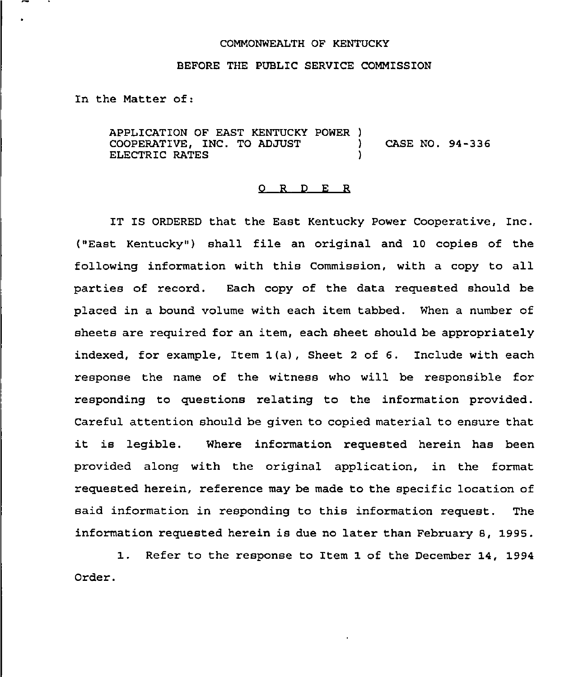## COMMONWEALTH OF KENTUCKY

## BEFORE THE PUBLIC SERVICE COMMISSION

In the Matter of:

APPLICATION OF EAST KENTUCKY POWER )<br>COOPERATIVE. INC. TO ADJUST COOPERATIVE, INC. TO ADJUST (ASE NO. 94-336) ELECTRIC RATES

## 0 R <sup>D</sup> E R

IT IS ORDERED that the East Kentucky Power Cooperative, Inc. ("East Kentucky" ) shall file an original and 10 copies of the following information with this Commission, with a copy to all parties of record. Each copy of the data requested should be placed in a bound volume with each item tabbed. When a number of sheets are required for an item, each sheet should be appropriately indexed, for example, Item 1(a), Sheet <sup>2</sup> of 6. Include with each response the name of the witness who will be responsible for responding to questions relating to the information provided. Careful attention should be given to copied material to ensure that it is legible. Where information requested herein has been provided along with the original application, in the format requested herein, reference may be made to the specific location of said information in responding to this information request. The information requested herein is due no later than February 8, 1995.

1. Refer to the response to Item 1 of the December 14, 1994 Order.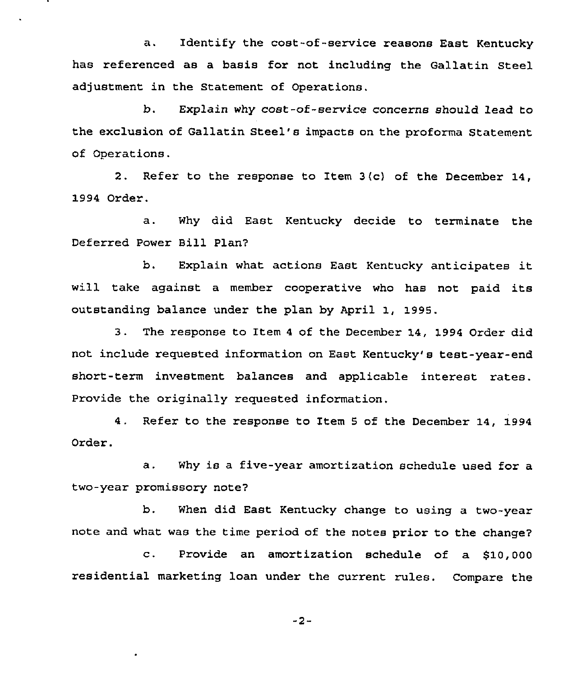a. Identify the cost-of-service reasons East Kentucky has referenced as a basis for not including the Gallatin Steel adjustment in the Statement of Operations.

b. Explain why cost-of-service concerns should lead to the exclusion of Gallatin Steel's impacts on the proforma Statement of Operations.

2. Refer to the response to Item 3/c) of the December 14, 1994 Order.

a. Why did East Kentucky decide to terminate the Deferred Power Bill Plan?

b. Explain what actions East Kentucky anticipates it will take against <sup>a</sup> member cooperative who has not paid its outstanding balance under the plan by April 1, 1995.

3. The response to Item <sup>4</sup> of the December 14, 1994 Order did not include requested information on East Kentucky's test-year-end short-term investment balances and applicable interest rates. Provide the originally requested information.

4. Refer to the response to Item 5 of the December 14, 1994 Order.

a. Why is a five-year amortization schedule used for a two-year promissory note?

b. When did East Kentucky change to using a two-year note and what was the time period of the notes prior to the change?

c. Provide an amortization schedule of a \$10, <sup>000</sup> residential marketing loan under the current rules. Compare the

"2-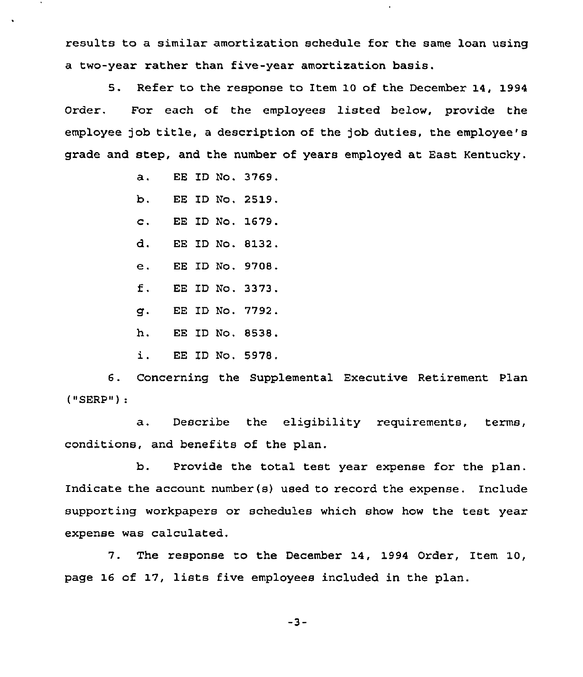results to a similar amortization schedule for the same loan using a two-year rather than five-year amortization basis.

5. Refer to the response to Item 10 of the December 14, 1994 Order. For each of the employees listed below, provide the employee job title, <sup>a</sup> description of the job duties, the employee's grade and step, and the number of years employed at East Kentucky.

- a. EE ID No. 3769.
- b. EE 1D No, 2519.
- c. EE ID No. 1679.
- d. EE ID No. 8132.
- $e<sub>1</sub>$ EE ID No. 9708.
- $f$ . EE ID No. 3373.
- q. EE ID No. 7792.
- h. EE ID No. 8538.
- i. EE ID No. 5978,

6. Concerning the Supplemental Executive Retirement Plan ("SERP")

a. Describe the eligibility requirements, terms, conditions, and benefits of the plan.

b. Provide the total test year expense for the plan. Indicate the account number(s) used to record the expense. Include supporting workpapers or schedules which show how the test year expense was calculated.

7. The response to the December 14, 1994 Order, Item 10, page 16 of 17, lists five employees included in the plan.

 $-3-$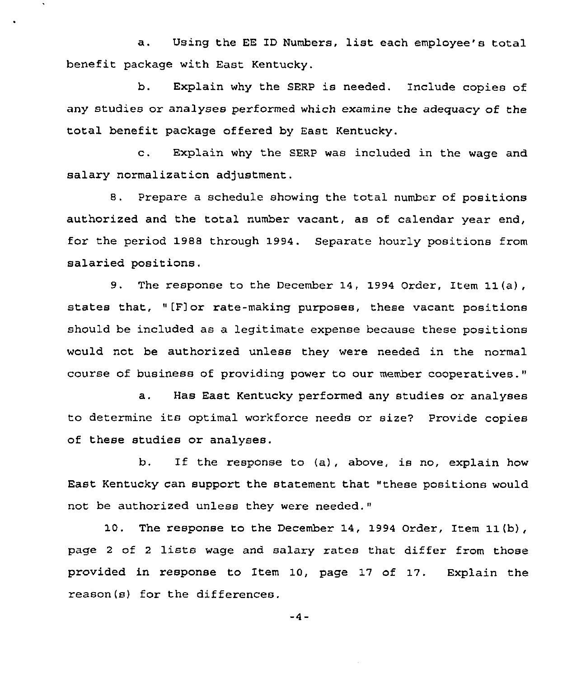a. Using the EE ID Numbers, list each employee's total benefit package with East Kentucky.

b. Explain why the SERP is needed. Include copies of any studies or analyses performed which examine the adequacy of the total benefit package offered by East Kentucky.

c. Explain why the SERP was included in the wage and salary normalization adjustment.

8. Prepare a schedule showing the total number of positions authorized and the total number vacant, as of calendar year end, for the period 1988 through 1994. Separate hourly positions from salaried positions.

9, The response to the December 14, 1994 Order, Item 11(a), states that, "[F]or rate-making purposes, these vacant positions should be included as a legitimate expense because these positions would not be authorized unless they were needed in the normal course of business of providing power to our member cooperatives."

a. Has East Kentucky performed any studies or analyses to determine its optimal workforce needs or size7 Provide copies of these studies or analyses.

b. If the response to (a), above, is no, explain how East Kentucky can support the statement that "these positions would not be authorized unless they were needed."

10. The response to the December 14, 1994 Order, Item 11(b), page <sup>2</sup> of <sup>2</sup> lists wage and salary rates that differ from those provided in response to Item 10, page 17 of 17. Explain the reason(s) for the differences.

 $-4-$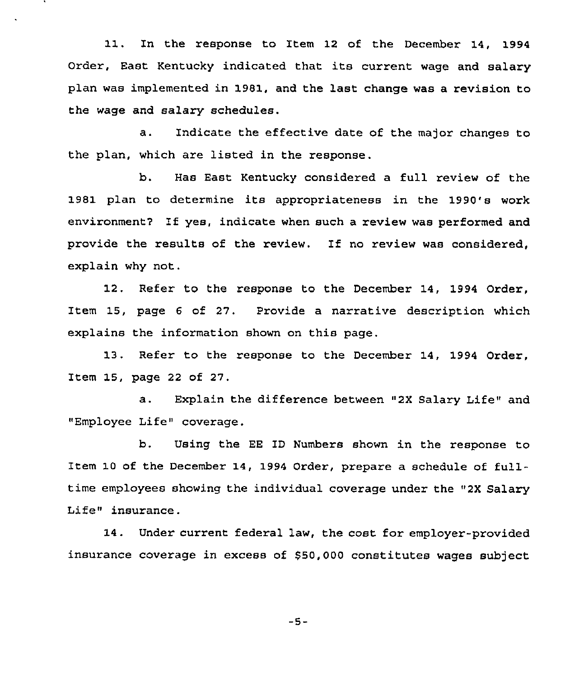11, In the response to Item 12 of the December 14, 1994 Order, East Kentucky indicated that its current wage and salary plan was implemented in 1981, and the last change was a revision to the wage and salary schedules.

a. Indicate the effective date of the major changes to the plan, which are listed in the response.

b. Has East Kentucky considered a full review of the 1981 plan to determine its appropriateness in the 1990's work environment7 If yes, indicate when such a review was performed and provide the results of the review. If no review was considered, explain why not.

12, Refer to the response to the December 14, 1994 Order, Item 15, page 6 of 27. Provide a narrative description which explains the information shown on this page.

13. Refer to the response to the December 14, 1994 Order, Item 15, page 22 of 27.

a. Explain the difference between "2X Salary Life" and "Employee Life" coverage.

b. Using the EE ID Numbers shown in the response to Item 10 of the December 14, 1994 Order, prepare a schedule of fulltime employees showing the individual coverage under the "2X Salary Life" insurance.

14. Under current federal law, the cost for employer-provided insurance coverage in excess of \$50,000 constitutes wages subject

 $-5-$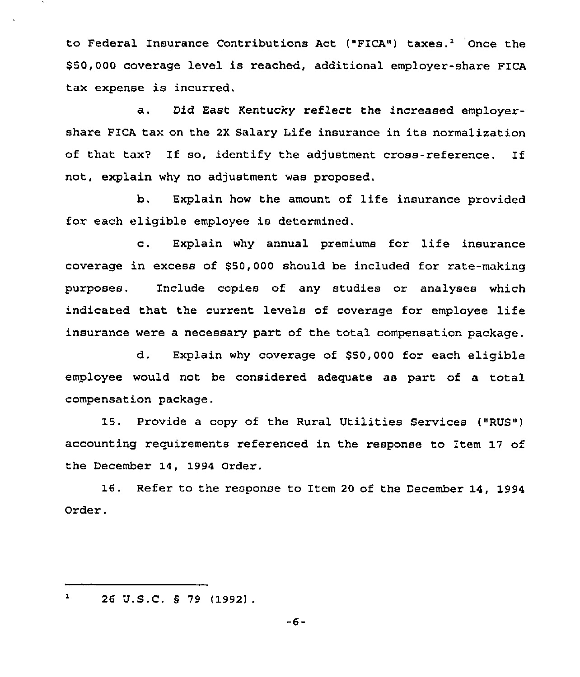to Federal Insurance Contributions Act ("FICA") taxes.<sup>1</sup> Once the \$ 50,000 coverage level is reached, additional employer-share FICA tax expense is incurred.

a. Did East Kentucky reflect the increased employershare PICA tax on the 2X Salary Life insurance in its normalization of that tax7 If so, identify the adjustment cross-reference. If not, explain why no adjustment was proposed.

b. Explain how the amount of life insurance provided for each eligible employee is determined.

c. Explain why annual premiums for life insurance coverage in excess of 550,000 should be included for rate-making purposes. Include copies of any studies or analyses which indicated that the current levels of coverage for employee life insurance were a necessary part of the total compensation package.

d. Explain why coverage of \$50,000 for each eligible employee would not be considered adequate as part of a total compensation package.

15. Provide a copy of the Rural Utilities Services ("RUS") accounting requirements referenced in the response to Item 17 of the December 14, 1994 Order,

16. Refer to the response to Item <sup>20</sup> of the December 14, 1994 Order.

 $-6-$ 

 $\mathbf 1$ 26 U.S.C. <sup>5</sup> 79 (1992)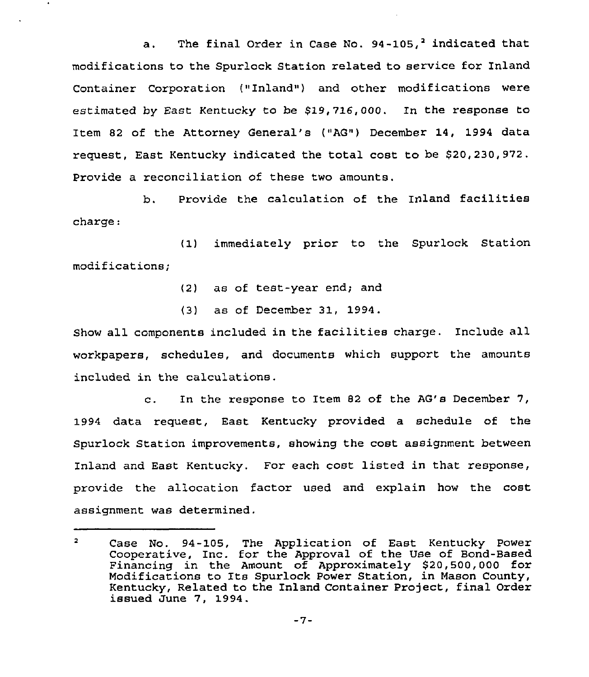a. The final Order in Case No.  $94-105<sub>i</sub><sup>2</sup>$  indicated that modifications to the Spurlock Station related to service for Inland Container Corporation ("Inland") and other modifications were estimated by East Kentucky to be \$19,716,000. In the response to Item 82 of the Attorney General's {"AG") December 14, 1994 data request, East Kentucky indicated the total cost to be \$20,230,972. Provide a reconciliation of these two amounts.

b. Provide the calculation of the Inland facilities charge:

(1) immediately prior to the Spurlock Station modifications;

- (2) as of test-year end; and
- (3) as of December 31, 1994.

Show all components included in the facilities charge. Include all workpapers, schedules, and documents which support the amounts included in the calculations.

c. In the response to Item <sup>82</sup> of the AG's December 7, 1994 data request, East Kentucky provided a schedule of the Spurlock Station improvements, showing the cost assignment between Inland and East Kentucky. For each cost listed in that response, provide the allocation factor used and explain how the cost assignment was determined.

 $\overline{2}$ Case No. 94-105, The Application of East Kentucky Power Cooperative, Inc. for the Approval of the Use of Bond-Based Financing in the Amount of Approximately \$20,500,000 for Modifications to Its Spurlock Power Station, in Mason County, Kentucky, Related to the Inland Container Project, final Order issued June 7, 1994.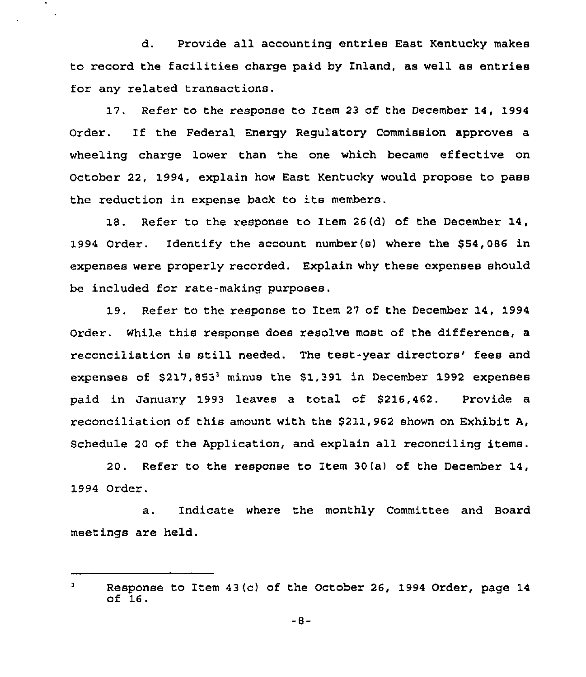d. Provide all accounting entries East Kentucky makes to record the facilities charge paid by Inland, as well as entries for any related transactions.

 $\bullet$ 

17. Refer to the response to Item 23 of the December 14, 1994 Order. If the Federal Energy Regulatory Commission approves a wheeling charge lower than the one which became effective on October 22, 1994, explain how East Kentucky would propose to pass the reduction in expense back to its members.

18. Refer to the response to Item 26(d) of the December 14, 1994 Order. Identify the account number(s) where the 854,086 in expenses were properly recorded. Explain why these expenses should be included for rate-making purposes.

19. Refer to the response to Item 27 of the December 14, 1994 Order. While this response does resolve most of the difference, a reconciliation is still needed. The test-year directors' fees and expenses of  $$217,853$ <sup>3</sup> minus the  $$1,391$  in December 1992 expenses paid in January 1993 leaves a total of \$216,462. Provide a reconciliation of this amount with the 5211,962 shown on Exhibit A, Schedule 20 of the Application, and explain all reconciling items.

20. Refer to the response to Item 30(a) of the December 14, 1994 Order.

a. Indicate where the monthly Committee and Board meetings are held.

 $\mathbf{a}$ Response to Item 43(c) of the October 26, 1994 Order, page 14 of 16.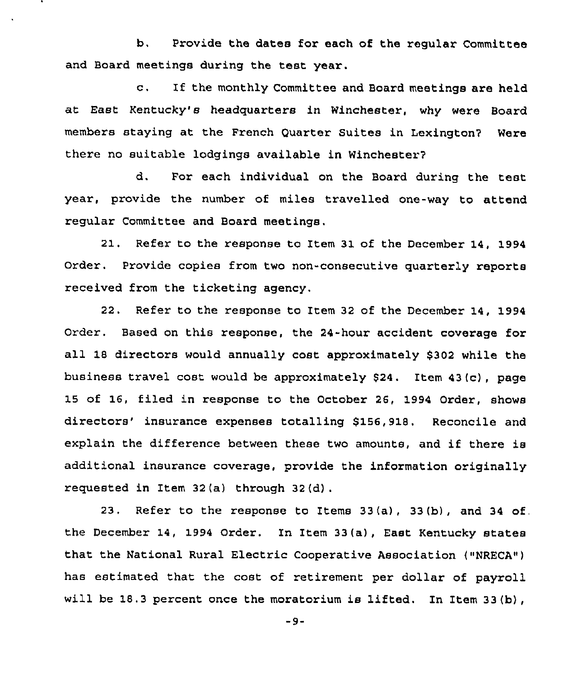b. Provide the dates for each of the regular Committee and Board meetings during the test year.

c. If the monthly Committee and Board meetings are held at East Kentucky's headquarters in Winchester, why were Board members staying at the French Quarter Suites in Lexington7 Were there no suitable lodgings available in Winchester?

d. For each individual on the Board during the test year, provide the number of miles travelled one-way to attend regular Committee and Board meetings.

21, Refer to the response to Item 31 of the December 14, 1994 Order. Provide copies from two non-consecutive quarterly reports received from the ticketing agency.

22. Refer to the response to Item 32 of the December 14, 1994 Order. Based on this response, the 24-hour accident coverage for all 18 directors would annually cost approximately \$302 while the business travel cost would be approximately \$24. Item 43(c), page 15 of 16, filed in response to the October 26, 1994 Order, shows directors' insurance expenses totalling \$156,918. Reconcile and explain the difference between these two amounts, and if there is additional insurance coverage, provide the information originally requested in Item 32(a) through 32(d) .

23. Refer to the response to Items 33(a), 33(b), and 34 of. the December 14, 1994 Order. In Item 33(a), East Kentucky states that the National Rural Electric Cooperative Association ("NRECA") has estimated that the cost of retirement per dollar of payroll will be 18.3 percent once the moratorium is lifted. In Item 33(b),

-9-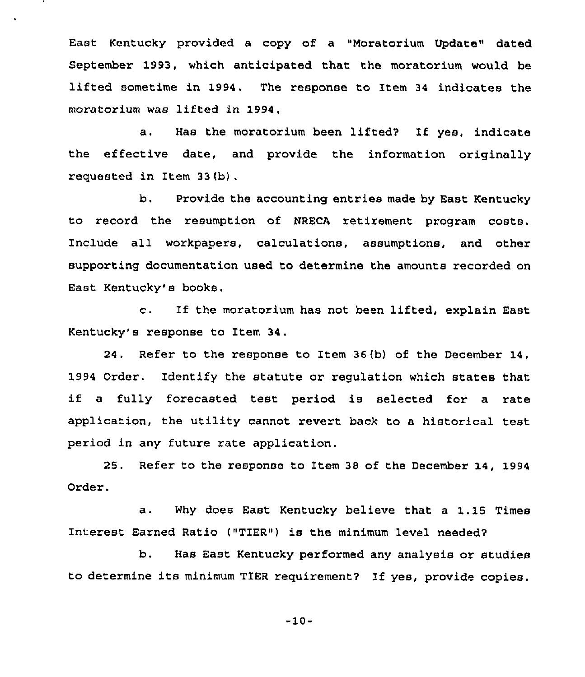East Kentucky provided a copy of a "Moratorium Update" dated September 1993, which anticipated that the moratorium would be lifted sometime in 1994. The response to Item <sup>34</sup> indicates the moratorium was lifted in 1994,

a. Has the moratorium been lifted? If yes, indicate the effective date, and provide the information originally requested in Item 33(b) .

b, Provide the accounting entries made by East Kentucky to record the resumption of NRECA retirement program costs. Include all workpapers, calculations, assumptions, and other supporting documentation used to determine the amounts recorded on East Kentucky's books.

c. If the moratorium has not been lifted, explain East Kentucky's response to Item 34.

24. Refer to the response to Item 36(b) of the December 14, 1994 Order. Identify the statute or regulation which states that if <sup>a</sup> fully forecasted test period is selected for <sup>a</sup> rate application, the utility cannot revert back to a historical test period in any future rate application.

25. Refer to the response to Item 38 of the December 14, 1994 Order.

a. Why does East Kentucky believe that <sup>a</sup> 1.15 Times Interest Earned Ratio ("TIER" ) is the minimum level needed?

b. Has East Kentucky performed any analysis or studies to determine its minimum TIER requirement? If yes, provide copies.

-10-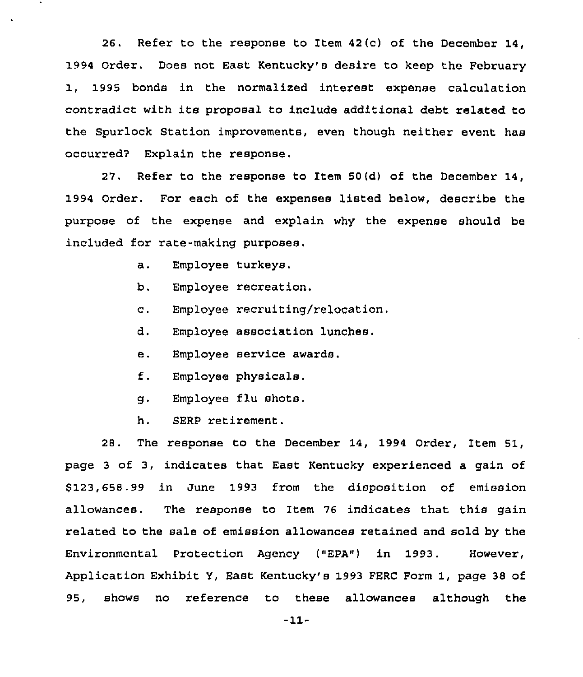26. Refer to the response to Item 42 (c) of the December 14, 1994 Order. Does not East Kentucky's desire to keep the February 1, 1995 bonds in the normalized interest expense calculation contradict with its proposal to include additional debt related to the Spurlock Station improvements, even though neither event has occurred? Explain the response.

27. Refer to the response to Item 50(d) of the December 14, 1994 Order. For each of the expenses listed below, describe the purpose of the expense and explain why the expense should be included for rate-making purposes.

- a, Employee turkeys,
- b. Employee recreation.
- c. Employee recruiting/relocation.
- d. Employee association lunches.
- e. Employee service awards.
- f. Employee physicals.
- g. Employee flu shots.
- h. SERP retirement.

28. The response to the December 14, 1994 Order, Item 51, page <sup>3</sup> of 3, indicates that East Kentucky experienced a gain of \$ 123,658.99 in June 1993 from the disposition of emission allowances. The response to Item 76 indicates that this gain related to the sale of emission allowances retained and sold by the Environmental Protection Agency ("EPA") in 1993. However, Application Exhibit Y, East Kentucky's 1993 FERC Form 1, page 38 of 95, shows no reference to these allowances although the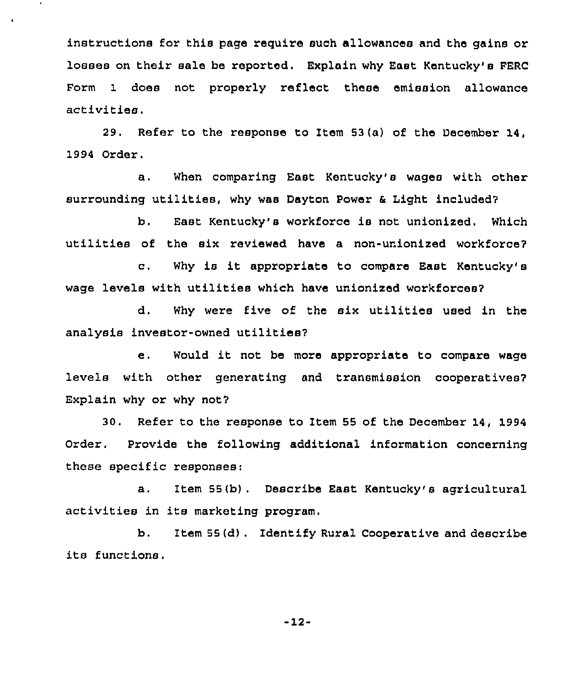instructions for this page require such allowances and the gains or losses on their sale be reported. Explain why East Kentucky's FERC Form 1 does not properly reflect these emission allowance activities.

 $\bullet$ 

29. Refer to the response to Item 53(a) of the December 14, 1994 Order.

a. When comparing East Kentucky's wages with other surrounding utilities, why was Dayton Power <sup>6</sup> Light included?

b. East Kentucky's workforce is not unionized. Which utilities of the six reviewed have a non-unionized workforce?

c. Why is it appropriate to compare East Kentucky's wage levels with utilities which have unionized workforces?

d. Why were five of the six utilities used in the analysis investor-owned utilities?

e. Would it not be more appropriate to compare wage levels with other generating and transmission cooperatives7 Explain why or why not?

30. Refer to the response to Item 55 of the December 14, 1994 Order. Provide the following additional information concerning these specific responses:

a. Item 55(b). Describe East Kentucky's agricultural activities in its marketing program.

b. Item 55(d). Identify Rural Cooperative and describe its functions.

-12-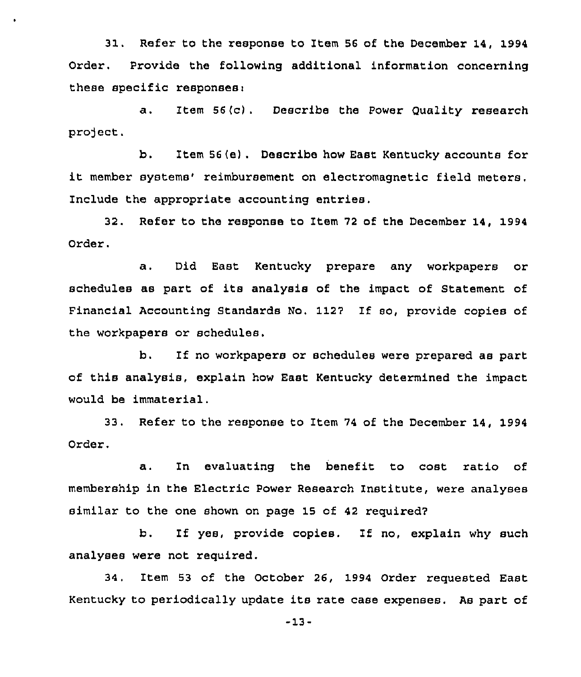31. Refer to the response to Item <sup>56</sup> of the December 14, 1994 Order. Provide the following additional information concerning these specific responsesi

a . Item 56 (c) . Describe the Power Quality research project.

b. Item 56(e). Describe how East Kentucky accounts for it member systems' reimbursement on electromagnetic field meters. Include the appropriate accounting entries,

32. Refer to the response to Item 72 of the December 14, 1994 Order.

a. Did East Kentucky prepare any workpapers or schedules as part of its analysis of the impact of Statement of Financial Accounting Standards No. 1127 If so, provide copies of the workpapers or schedules.

b. If no workpapers or schedules were prepared as part of this analysis, explain how East Kentucky determined the impact would be immaterial.

33. Refer to the response to Item <sup>74</sup> of the December 14, 1994 Order.

a. In evaluating the benefit to cost ratio of membership in the Electric Power Research Institute, were analyses similar to the one shown on page 15 of 42 required7

b. If yes, provide copies. If no, explain why such analyses were not required.

34, Item 53 of the October 26, 1994 Order requested East Kentucky to periodically update its rate case expenses. As part of

-13-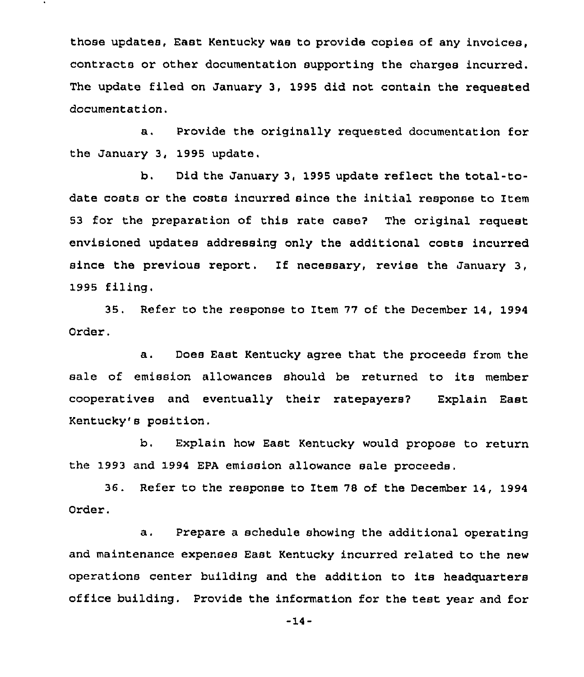those updates, East Kentucky was to provide copies of any invoices, contracts or other documentation supporting the charges incurred. The update filed on January 3, 1995 did not contain the requested documentation.

a. Provide the originally requested documentation for the January 3, 1995 update.

b. Did the January 3, 1995 update reflect the total-todate costs or the costs incurred since the initial response to Item 53 for the preparation of this rate cases The original request envisioned updates addressing only the additional costs incurred since the previous report. If necessary, revise the January 3, 1995 filing.

35. Refer to the response to Item 77 of the December 14, 1994 Order.

a. Does East Kentucky agree that the proceeds from the sale of emission allowances should be returned to its member cooperatives and eventually their ratepayers? Explain East Kentucky's position.

b. Explain how East Kentucky would propose to return the 1993 and 1994 EPA emission allowance sale proceeds.

36. Refer to the response to Item 78 of the December 14, 1994 Order.

a. Prepare <sup>a</sup> schedule showing the additional operating and maintenance expenses East Kentucky incurred related to the new operations center building and the addition to its headquarters office building. Provide the information for the test year and for

-14-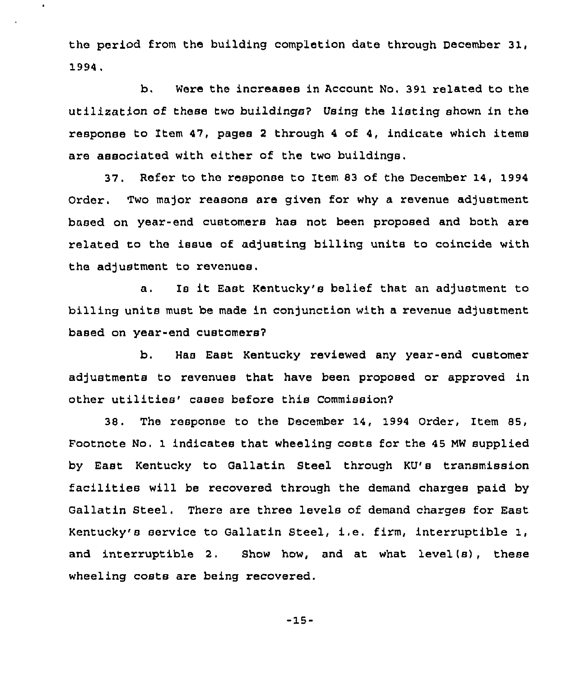the period from the building completion date through December 31, 1994.

 $\bullet$ 

b. Were the increases in Account No. 391 related to the utilization of these two buildings? Using the listing shown in the response to Item 47, pages <sup>2</sup> through <sup>4</sup> of 4, indicate which items are associated with either of the two buildings.

37. Refer to the response to Item 83 of the December 14, 1994 Order. Two major reasons are given for why a revenue adjustment based on year-end customers has not been proposed and both are related to the issue of adjusting billing units to coincide with the adjustment to revenues.

a, Is it East Kentucky's belief that an adjustment to billing units must be made in conjunction with a revenue adjustment based on year-end customers?

b. Has East Kentucky reviewed any year-end customer adjustments to revenues that have been proposed or approved in other utilities'ases before this Commission?

38. The response to the December'4, 1994 Order, Item 85, Footnote No. 1 indicates that wheeling costs for the 45 MW supplied by East Kentucky to Gallatin Steel through KU's transmission facilities will be recovered through the demand charges paid by Gallatin Steel. There are three levels of demand charges for East Kentucky's service to Gallatin Steel, i.e. firm, interruptible 1, and interruptible 2. Show how, and at what level(s), these wheeling costs are being recovered.

-15-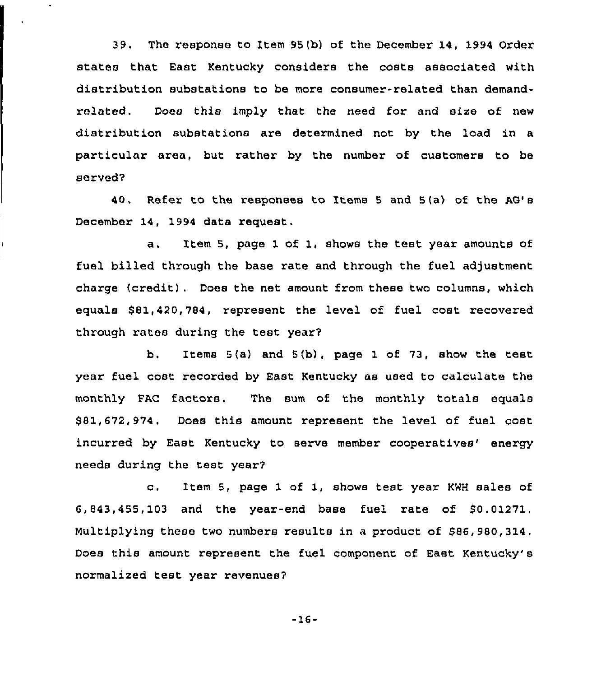39. The response to Item 95(b) of the December 14, 1994 Order states that East Kentucky considers the costs associated with distribution substations to be more consumer-related than demandrelated. Does this imply that the need for and size of new distribution substations are determined not by the load in a particular area, but rather by the number of customers to be served?

<sup>40</sup> . Refer to the responses to Items <sup>5</sup> and 5(a) of the AG' December 14, 1994 data request,

a. Item 5, page <sup>1</sup> of 1, shows the test year amounts of fuel billed through the base rate and through the fuel adjustment charge {credit). Does the net amount from these two columns, which equals \$81,420,784, represent the level of fuel cost recovered through rates during the test year?

b. Items 5(a) and 5(b), page 1 of 73, show the test year fuel cost recorded by East Kentucky as used to calculate the monthly FAG factors. The sum of the monthly totals equals \$ 81,672,974. Does this amount represent the level of fuel cost incurred by East Kentucky to serve member cooperatives' energy needs during the test year?

c. Item 5, page <sup>1</sup> of 1, shows test year KWH sales of 6,843,455, 103 and the year-end base fuel rate of \$0. 01271. Multiplying these two numbers results in a product of \$86,980,314. Does this amount represent the fuel component of East Kentucky's normalized test year revenues?

-16-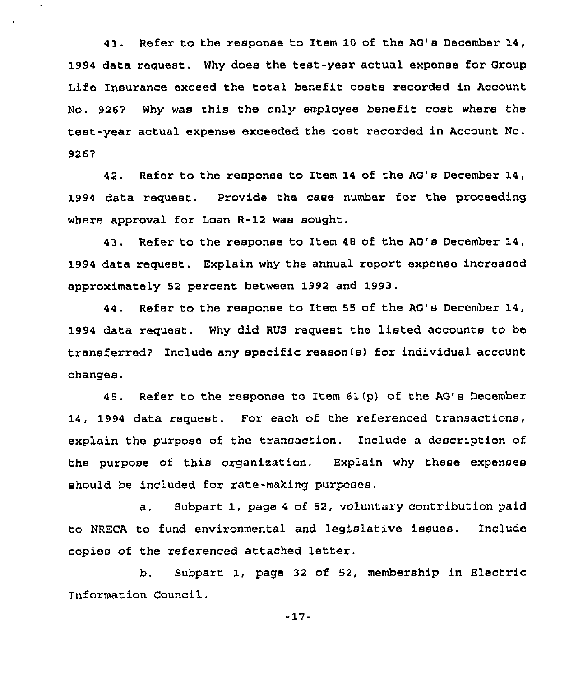41. Refer to the response to Item 10 of the AG's December 14, 1994 data request. Why does the test-year actual expense for Group Life Insurance exceed the total benefit costs recorded in Account No. 926'7 Why was this the only employee benefit cost where the test-year actual expense exceeded the cost recorded in Account No. 9267

ä,

42. Refer to the response to Item 14 of the AG's December 14, 1994 data request. Provide the case number for the proceeding where approval for Loan R-12 was sought,

43. Refer to the response to Item 48 of the AG's December 14, 1994 data request. Explain why the annual report expense increased approximately 52 percent between 1992 and 1993.

44. Refer to the response to Item 55 of the AG's December 14, 1994 data request. Why did RUS request the listed accounts to be transferred? Include any specific reason(s) for individual account changes.

<sup>45</sup> . Refer to the response to Item 61(p) of the AG' December 14, 1994 data request. For each of the referenced transactions, explain the purpose of the transaction. Include a description of the purpose of this organization. Explain why these expenses should be included for rate-making purposes.

a. Subpart 1, page <sup>4</sup> of 52, voluntary contribution paid to NRECA to fund environmental and legislative issues. Include copies of the referenced attached letter,

b. Subpart 1, page <sup>32</sup> of 52, membership in Electric Information Council.

-17-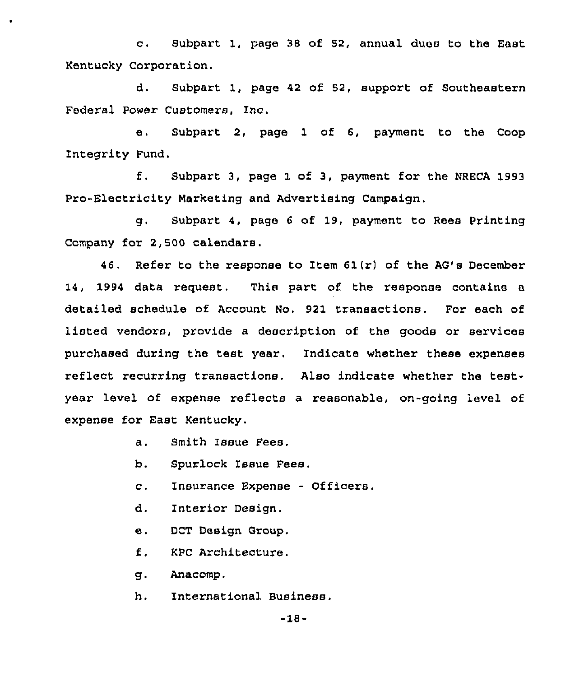c. Subpart 1, page <sup>38</sup> of 52, annual dues to the East Kentucky Corporation.

d, Subpart 1, page 42 of 52, support of Southeastern Federal Power Customers, Inc.

e. Subpart 2, page 1 of 6, payment to the Coop Integrity Fund.

f. SubPart 3, Page <sup>1</sup> of 3, Payment for the NRECA <sup>1993</sup> Pro-Electricity Marketing and Advertising Campaign.

g. Subpart 4, page <sup>6</sup> of 19, payment to Rees Printing Company for 2,500 calendars.

46. Refer to the response to Item  $61(r)$  of the AG's December 14, 1994 data request. This part of the response contains a detailed schedule of Account No. 921 transactions. For each of listed vendors, provide a description of the goods or services purchased during the test year, Indicate whether these expenses reflect recurring transactions. Also indicate whether the testyear level of expense reflects a reasonable, on-going level of expense for East Kentucky.

a. Smith Issue Fees.

b. Spurlock Issue Fees.

c. Insurance Expense - Officers.

d. Interior Design.

e. DCT Design Group,

f. KPC Architecture.

g. Anacomp.

h. International Business.

-18-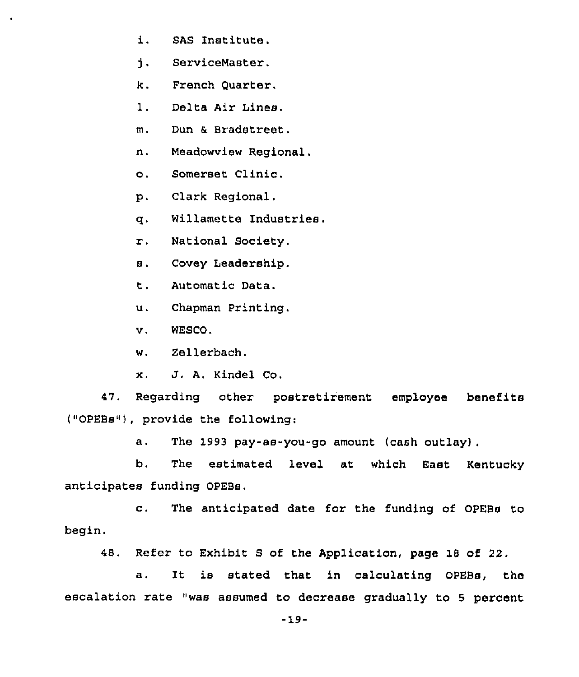- i. SAS Institute.
- $\mathbf{1}$ . ServiceMaster.
- k. French Quarter,
- 1. Delta Air Lines.
- m. Dun & Bradstreet.
- n. Meadowview Regional.
- o. Somerset Clinic,
- p, Clark Regional.
- q. Willamette Industries.
- r. National Society.
- s. Covey Leadership,
- t. Automatic Data.
- u. Chapman Printing.
- v. WESCO.
- w. Zellerbach.
- x. J. A, Kindel Co.

47. Regarding other postretirement employee benefits ("OPEBs"), provide the following:

a. The 1993 pay-as-you-go amount (cash outlay).

b. The estimated level at which East Kentucky anticipates funding OPEBs.

c. The anticipated date for the funding of OPEBs to begin.

48. Refer to Exhibit S of the Application, page 18 of 22.

a. It is stated that in calculating OPEBs, the escalation rate "was assumed to decrease gradually to 5 percent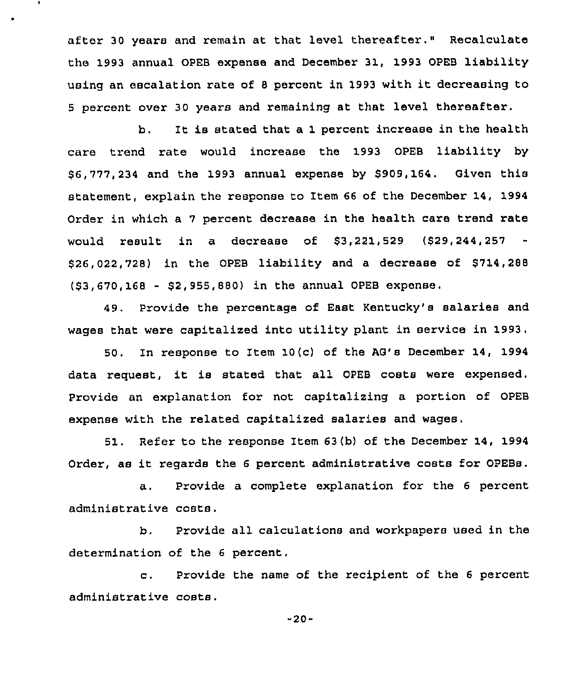after 30 years and remain at that level thereafter." Recalculate the 1993 annual OPEB expense and December 31, 1993 OPEB liability using an escalation rate of <sup>8</sup> percent in <sup>1993</sup> with it decreasing to <sup>5</sup> percent over 30 years and remaining at that level thereafter.

 $\bullet$ 

b. It is stated that a 1 percent increase in the health care trend rate would increase the 1993 OPEB liability by \$ 6,777,234 and the 1993 annual expense by \$909,164. Given this statement, explain the response to Item 66 of the December 14, 1994 Order in which a <sup>7</sup> percent decrease in the health care trend rate would result in a decrease of \$3,221,529 (\$29,244,257 \$26,022,728) in the OPEB liability and a decrease of \$714,288 (\$3,670,168 - \$2,955,880) in the annual OPEB expense.

49. Provide the percentage of East Kentucky's salaries and wages that were capitalized into utility plant in service in 1993.

50. In response to Item 10{c) of the AG's December 14, 1994 data request, it is stated that all OPEB costs were expensed. Provide an explanation for not capitalizing a portion of OPEB expense with the related capitalized salaries and wages.

51. Refer to the response Item 63{b) of the December 14, 1994 Order, as it regards the <sup>6</sup> percent administrative costs for OPEBs.

a. Provide a complete explanation for the <sup>6</sup> percent administrative costs.

b. Provide all calculations and workpapers used in the determination of the 6 percent,

c. Provide the name of the recipient of the <sup>6</sup> percent administrative costs.

-20-